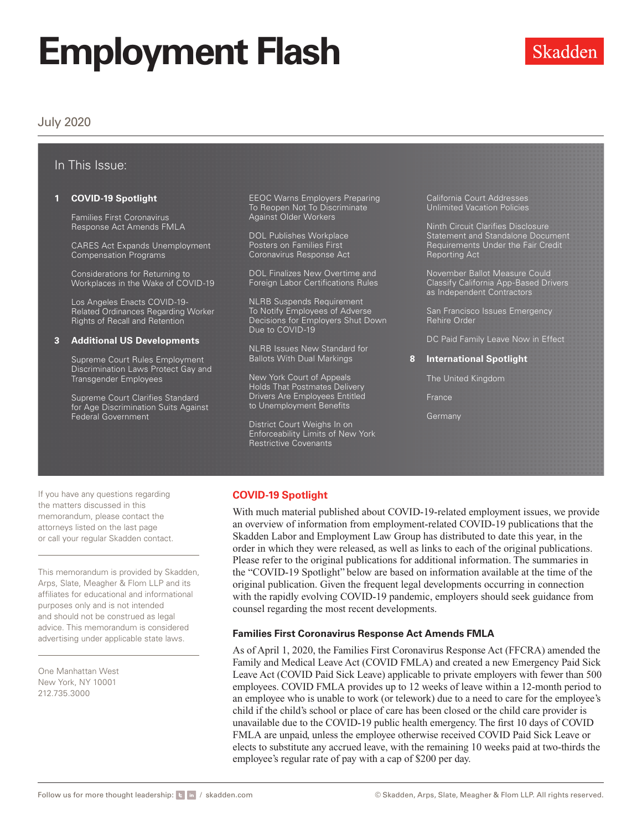### July 2020

### In This Issue:

#### **1 COVID-19 Spotlight**

Families First Coronavirus Response Act Amends FMLA

[CARES Act Expands Unemployment](#page-1-0)  [Compensation Programs](#page-1-0)

[Considerations for Returning to](#page-1-0)  [Workplaces in the Wake of COVID-19](#page-1-0)

[Los Angeles Enacts COVID-19-](#page-2-0) [Related Ordinances Regarding Worker](#page-2-0)  [Rights of Recall and Retention](#page-2-0)

#### **3 [Additional US Developments](#page-2-0)**

[Supreme Court Rules Employment](#page-2-0)  [Discrimination Laws Protect Gay and](#page-2-0)  [Transgender Employees](#page-2-0)

[Supreme Court Clarifies Standard](#page-3-0)  [for Age Discrimination Suits Against](#page-3-0)  [Federal Government](#page-3-0)

[EEOC Warns Employers Preparing](#page-3-0)  [To Reopen Not To Discriminate](#page-3-0)  [Against Older Workers](#page-3-0)

DOL Publishes Workplace [Posters on Families First](#page-4-0)  [Coronavirus Response Act](#page-4-0)

[DOL Finalizes New Overtime and](#page-4-0)  [Foreign Labor Certifications Rules](#page-4-0)

[NLRB Suspends Requirement](#page-4-0)  [To Notify Employees of Adverse](#page-4-0)  [Decisions for Employers Shut Down](#page-4-0)  [Due to COVID-19](#page-4-0)

[NLRB Issues New Standard for](#page-5-0)  [Ballots With Dual Markings](#page-5-0)

[New York Court of Appeals](#page-5-0)  [Holds That Postmates Delivery](#page-5-0)  [Drivers Are Employees Entitled](#page-5-0)  [to Unemployment Benefits](#page-5-0)

[District Court Weighs In on](#page-5-0)  [Enforceability Limits of New York](#page-5-0)  [Restrictive Covenants](#page-5-0)

[California Court Addresses](#page-6-0) [Unlimited Vacation Policies](#page-6-0)

[Ninth Circuit Clarifies Disclosure](#page-6-0)  [Statement and Standalone Document](#page-6-0)  [Requirements Under the Fair Credit](#page-6-0)  [Reporting Act](#page-6-0)

[November Ballot Measure Could](#page-6-0)  [Classify California App-Based Drivers](#page-6-0)  [as Independent Contractors](#page-6-0)

[San Francisco Issues Emergency](#page-7-0)  [Rehire Order](#page-7-0)

[DC Paid Family Leave Now in Effect](#page-7-0)

#### **8 [International Spotlight](#page-7-0)**

[The United Kingdom](#page-7-0)

[France](#page-8-0)

**[Germany](#page-9-0)** 

If you have any questions regarding the matters discussed in this memorandum, please contact the attorneys listed on the last page or call your regular Skadden contact.

This memorandum is provided by Skadden, Arps, Slate, Meagher & Flom LLP and its affiliates for educational and informational purposes only and is not intended and should not be construed as legal advice. This memorandum is considered advertising under applicable state laws.

One Manhattan West New York, NY 10001 212.735.3000

#### **COVID-19 Spotlight**

With much material published about COVID-19-related employment issues, we provide an overview of information from employment-related COVID-19 publications that the Skadden Labor and Employment Law Group has distributed to date this year, in the order in which they were released, as well as links to each of the original publications. Please refer to the original publications for additional information. The summaries in the "COVID-19 Spotlight" below are based on information available at the time of the original publication. Given the frequent legal developments occurring in connection with the rapidly evolving COVID-19 pandemic, employers should seek guidance from counsel regarding the most recent developments.

#### **Families First Coronavirus Response Act Amends FMLA**

As of April 1, 2020, the Families First Coronavirus Response Act (FFCRA) amended the Family and Medical Leave Act (COVID FMLA) and created a new Emergency Paid Sick Leave Act (COVID Paid Sick Leave) applicable to private employers with fewer than 500 employees. COVID FMLA provides up to 12 weeks of leave within a 12-month period to an employee who is unable to work (or telework) due to a need to care for the employee's child if the child's school or place of care has been closed or the child care provider is unavailable due to the COVID-19 public health emergency. The first 10 days of COVID FMLA are unpaid, unless the employee otherwise received COVID Paid Sick Leave or elects to substitute any accrued leave, with the remaining 10 weeks paid at two-thirds the employee's regular rate of pay with a cap of \$200 per day.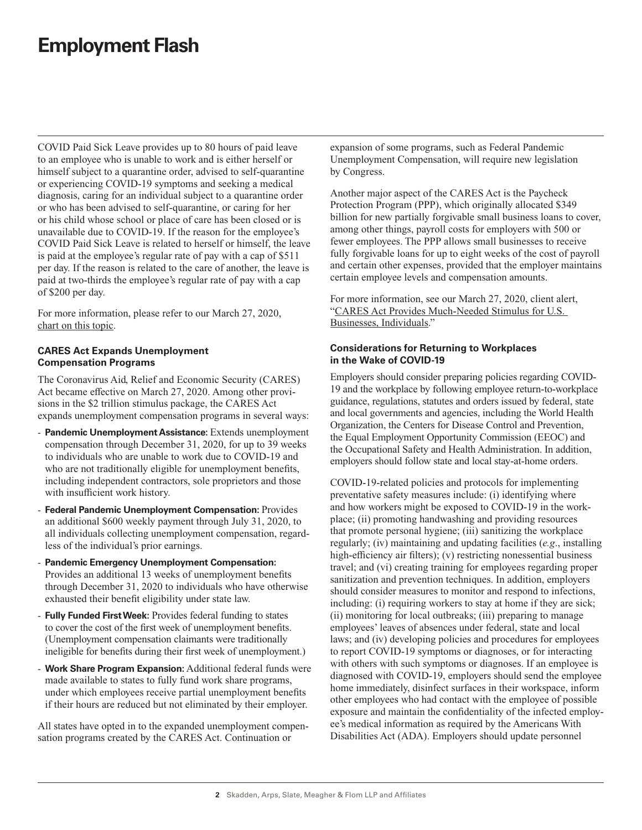<span id="page-1-0"></span>COVID Paid Sick Leave provides up to 80 hours of paid leave to an employee who is unable to work and is either herself or himself subject to a quarantine order, advised to self-quarantine or experiencing COVID-19 symptoms and seeking a medical diagnosis, caring for an individual subject to a quarantine order or who has been advised to self-quarantine, or caring for her or his child whose school or place of care has been closed or is unavailable due to COVID-19. If the reason for the employee's COVID Paid Sick Leave is related to herself or himself, the leave is paid at the employee's regular rate of pay with a cap of \$511 per day. If the reason is related to the care of another, the leave is paid at two-thirds the employee's regular rate of pay with a cap of \$200 per day.

For more information, please refer to our March 27, 2020, [chart on this topic](https://www.skadden.com/-/media/files/publications/2020/04/return-to-work-considerations/fn7_skadden_ffcra_chart.pdf).

#### **CARES Act Expands Unemployment Compensation Programs**

The Coronavirus Aid, Relief and Economic Security (CARES) Act became effective on March 27, 2020. Among other provisions in the \$2 trillion stimulus package, the CARES Act expands unemployment compensation programs in several ways:

- **Pandemic Unemployment Assistance:** Extends unemployment compensation through December 31, 2020, for up to 39 weeks to individuals who are unable to work due to COVID-19 and who are not traditionally eligible for unemployment benefits, including independent contractors, sole proprietors and those with insufficient work history.
- **Federal Pandemic Unemployment Compensation:** Provides an additional \$600 weekly payment through July 31, 2020, to all individuals collecting unemployment compensation, regardless of the individual's prior earnings.
- **Pandemic Emergency Unemployment Compensation:**  Provides an additional 13 weeks of unemployment benefits through December 31, 2020 to individuals who have otherwise exhausted their benefit eligibility under state law.
- **Fully Funded First Week:** Provides federal funding to states to cover the cost of the first week of unemployment benefits. (Unemployment compensation claimants were traditionally ineligible for benefits during their first week of unemployment.)
- **Work Share Program Expansion:** Additional federal funds were made available to states to fully fund work share programs, under which employees receive partial unemployment benefits if their hours are reduced but not eliminated by their employer.

All states have opted in to the expanded unemployment compensation programs created by the CARES Act. Continuation or

expansion of some programs, such as Federal Pandemic Unemployment Compensation, will require new legislation by Congress.

Another major aspect of the CARES Act is the Paycheck Protection Program (PPP), which originally allocated \$349 billion for new partially forgivable small business loans to cover, among other things, payroll costs for employers with 500 or fewer employees. The PPP allows small businesses to receive fully forgivable loans for up to eight weeks of the cost of payroll and certain other expenses, provided that the employer maintains certain employee levels and compensation amounts.

For more information, see our March 27, 2020, client alert, ["CARES Act Provides Much-Needed Stimulus for U.S.](https://www.skadden.com/insights/publications/2020/03/cares-act-provides-much-needed-stimulus)  [Businesses, Individuals.](https://www.skadden.com/insights/publications/2020/03/cares-act-provides-much-needed-stimulus)"

#### **Considerations for Returning to Workplaces in the Wake of COVID-19**

Employers should consider preparing policies regarding COVID-19 and the workplace by following employee return-to-workplace guidance, regulations, statutes and orders issued by federal, state and local governments and agencies, including the World Health Organization, the Centers for Disease Control and Prevention, the Equal Employment Opportunity Commission (EEOC) and the Occupational Safety and Health Administration. In addition, employers should follow state and local stay-at-home orders.

COVID-19-related policies and protocols for implementing preventative safety measures include: (i) identifying where and how workers might be exposed to COVID-19 in the workplace; (ii) promoting handwashing and providing resources that promote personal hygiene; (iii) sanitizing the workplace regularly; (iv) maintaining and updating facilities (*e.g*., installing high-efficiency air filters); (v) restricting nonessential business travel; and (vi) creating training for employees regarding proper sanitization and prevention techniques. In addition, employers should consider measures to monitor and respond to infections, including: (i) requiring workers to stay at home if they are sick; (ii) monitoring for local outbreaks; (iii) preparing to manage employees' leaves of absences under federal, state and local laws; and (iv) developing policies and procedures for employees to report COVID-19 symptoms or diagnoses, or for interacting with others with such symptoms or diagnoses. If an employee is diagnosed with COVID-19, employers should send the employee home immediately, disinfect surfaces in their workspace, inform other employees who had contact with the employee of possible exposure and maintain the confidentiality of the infected employee's medical information as required by the Americans With Disabilities Act (ADA). Employers should update personnel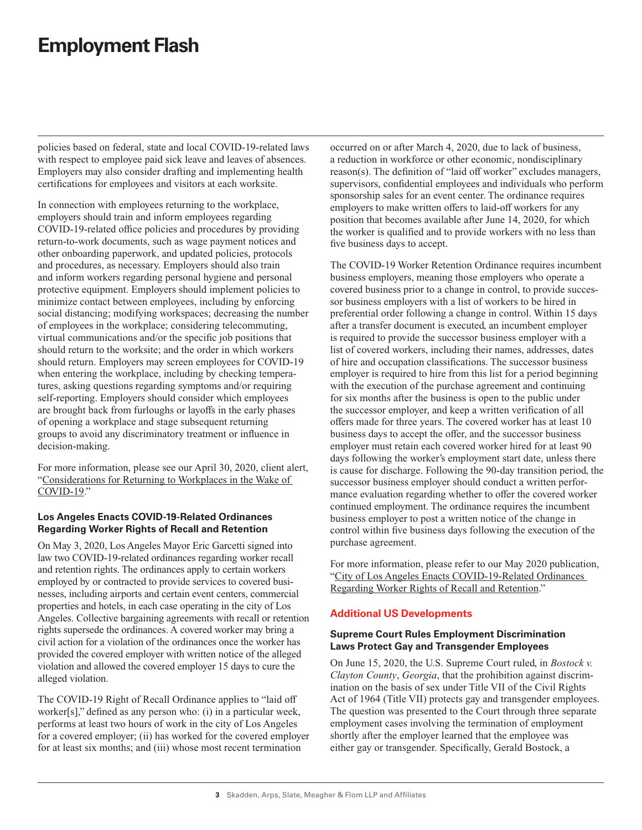<span id="page-2-0"></span>policies based on federal, state and local COVID-19-related laws with respect to employee paid sick leave and leaves of absences. Employers may also consider drafting and implementing health certifications for employees and visitors at each worksite.

In connection with employees returning to the workplace, employers should train and inform employees regarding COVID-19-related office policies and procedures by providing return-to-work documents, such as wage payment notices and other onboarding paperwork, and updated policies, protocols and procedures, as necessary. Employers should also train and inform workers regarding personal hygiene and personal protective equipment. Employers should implement policies to minimize contact between employees, including by enforcing social distancing; modifying workspaces; decreasing the number of employees in the workplace; considering telecommuting, virtual communications and/or the specific job positions that should return to the worksite; and the order in which workers should return. Employers may screen employees for COVID-19 when entering the workplace, including by checking temperatures, asking questions regarding symptoms and/or requiring self-reporting. Employers should consider which employees are brought back from furloughs or layoffs in the early phases of opening a workplace and stage subsequent returning groups to avoid any discriminatory treatment or influence in decision-making.

For more information, please see our April 30, 2020, client alert, ["Considerations for Returning to Workplaces in the Wake of](https://www.skadden.com/insights/publications/2020/04/considerations-for-returning-to-workplaces)  [COVID-19](https://www.skadden.com/insights/publications/2020/04/considerations-for-returning-to-workplaces)."

#### **Los Angeles Enacts COVID-19-Related Ordinances Regarding Worker Rights of Recall and Retention**

On May 3, 2020, Los Angeles Mayor Eric Garcetti signed into law two COVID-19-related ordinances regarding worker recall and retention rights. The ordinances apply to certain workers employed by or contracted to provide services to covered businesses, including airports and certain event centers, commercial properties and hotels, in each case operating in the city of Los Angeles. Collective bargaining agreements with recall or retention rights supersede the ordinances. A covered worker may bring a civil action for a violation of the ordinances once the worker has provided the covered employer with written notice of the alleged violation and allowed the covered employer 15 days to cure the alleged violation.

The COVID-19 Right of Recall Ordinance applies to "laid off worker[s]," defined as any person who: (i) in a particular week, performs at least two hours of work in the city of Los Angeles for a covered employer; (ii) has worked for the covered employer for at least six months; and (iii) whose most recent termination

occurred on or after March 4, 2020, due to lack of business, a reduction in workforce or other economic, nondisciplinary reason(s). The definition of "laid off worker" excludes managers, supervisors, confidential employees and individuals who perform sponsorship sales for an event center. The ordinance requires employers to make written offers to laid-off workers for any position that becomes available after June 14, 2020, for which the worker is qualified and to provide workers with no less than five business days to accept.

The COVID-19 Worker Retention Ordinance requires incumbent business employers, meaning those employers who operate a covered business prior to a change in control, to provide successor business employers with a list of workers to be hired in preferential order following a change in control. Within 15 days after a transfer document is executed, an incumbent employer is required to provide the successor business employer with a list of covered workers, including their names, addresses, dates of hire and occupation classifications. The successor business employer is required to hire from this list for a period beginning with the execution of the purchase agreement and continuing for six months after the business is open to the public under the successor employer, and keep a written verification of all offers made for three years. The covered worker has at least 10 business days to accept the offer, and the successor business employer must retain each covered worker hired for at least 90 days following the worker's employment start date, unless there is cause for discharge. Following the 90-day transition period, the successor business employer should conduct a written performance evaluation regarding whether to offer the covered worker continued employment. The ordinance requires the incumbent business employer to post a written notice of the change in control within five business days following the execution of the purchase agreement.

For more information, please refer to our May 2020 publication, ["City of Los Angeles Enacts COVID-19-Related Ordinances](https://www.skadden.com/insights/publications/2020/05/city-of-los-angeles-enacts-covid-19-related)  [Regarding Worker Rights of Recall and Retention.](https://www.skadden.com/insights/publications/2020/05/city-of-los-angeles-enacts-covid-19-related)"

#### **Additional US Developments**

#### **Supreme Court Rules Employment Discrimination Laws Protect Gay and Transgender Employees**

On June 15, 2020, the U.S. Supreme Court ruled, in *Bostock v. Clayton County*, *Georgia*, that the prohibition against discrimination on the basis of sex under Title VII of the Civil Rights Act of 1964 (Title VII) protects gay and transgender employees. The question was presented to the Court through three separate employment cases involving the termination of employment shortly after the employer learned that the employee was either gay or transgender. Specifically, Gerald Bostock, a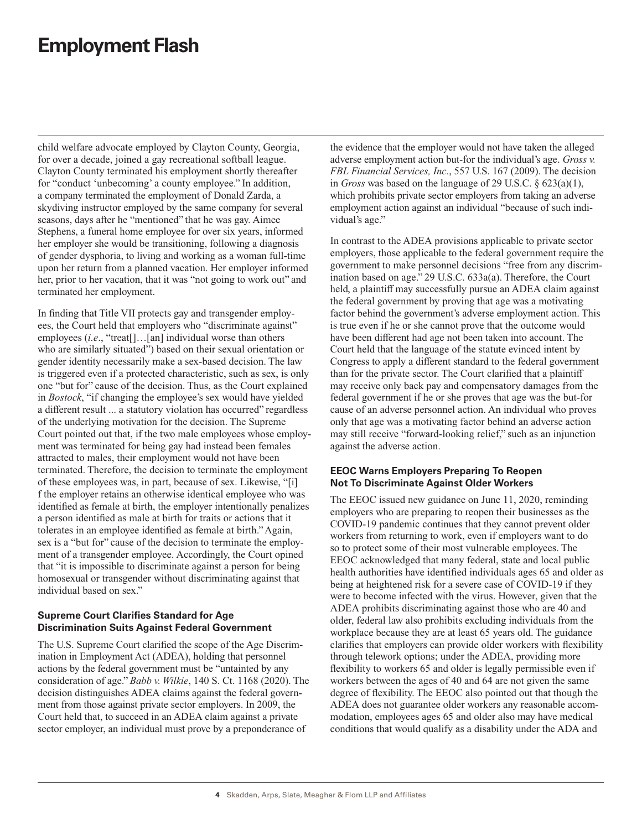<span id="page-3-0"></span>child welfare advocate employed by Clayton County, Georgia, for over a decade, joined a gay recreational softball league. Clayton County terminated his employment shortly thereafter for "conduct 'unbecoming' a county employee." In addition, a company terminated the employment of Donald Zarda, a skydiving instructor employed by the same company for several seasons, days after he "mentioned" that he was gay. Aimee Stephens, a funeral home employee for over six years, informed her employer she would be transitioning, following a diagnosis of gender dysphoria, to living and working as a woman full-time upon her return from a planned vacation. Her employer informed her, prior to her vacation, that it was "not going to work out" and terminated her employment.

In finding that Title VII protects gay and transgender employees, the Court held that employers who "discriminate against" employees (*i.e*., "treat[]…[an] individual worse than others who are similarly situated") based on their sexual orientation or gender identity necessarily make a sex-based decision. The law is triggered even if a protected characteristic, such as sex, is only one "but for" cause of the decision. Thus, as the Court explained in *Bostock*, "if changing the employee's sex would have yielded a different result ... a statutory violation has occurred" regardless of the underlying motivation for the decision. The Supreme Court pointed out that, if the two male employees whose employment was terminated for being gay had instead been females attracted to males, their employment would not have been terminated. Therefore, the decision to terminate the employment of these employees was, in part, because of sex. Likewise, "[i] f the employer retains an otherwise identical employee who was identified as female at birth, the employer intentionally penalizes a person identified as male at birth for traits or actions that it tolerates in an employee identified as female at birth." Again, sex is a "but for" cause of the decision to terminate the employment of a transgender employee. Accordingly, the Court opined that "it is impossible to discriminate against a person for being homosexual or transgender without discriminating against that individual based on sex."

#### **Supreme Court Clarifies Standard for Age Discrimination Suits Against Federal Government**

The U.S. Supreme Court clarified the scope of the Age Discrimination in Employment Act (ADEA), holding that personnel actions by the federal government must be "untainted by any consideration of age." *Babb v. Wilkie*, 140 S. Ct. 1168 (2020). The decision distinguishes ADEA claims against the federal government from those against private sector employers. In 2009, the Court held that, to succeed in an ADEA claim against a private sector employer, an individual must prove by a preponderance of

the evidence that the employer would not have taken the alleged adverse employment action but-for the individual's age. *Gross v. FBL Financial Services, Inc*., 557 U.S. 167 (2009). The decision in *Gross* was based on the language of 29 U.S.C. § 623(a)(1), which prohibits private sector employers from taking an adverse employment action against an individual "because of such individual's age."

In contrast to the ADEA provisions applicable to private sector employers, those applicable to the federal government require the government to make personnel decisions "free from any discrimination based on age." 29 U.S.C. 633a(a). Therefore, the Court held, a plaintiff may successfully pursue an ADEA claim against the federal government by proving that age was a motivating factor behind the government's adverse employment action. This is true even if he or she cannot prove that the outcome would have been different had age not been taken into account. The Court held that the language of the statute evinced intent by Congress to apply a different standard to the federal government than for the private sector. The Court clarified that a plaintiff may receive only back pay and compensatory damages from the federal government if he or she proves that age was the but-for cause of an adverse personnel action. An individual who proves only that age was a motivating factor behind an adverse action may still receive "forward-looking relief," such as an injunction against the adverse action.

#### **EEOC Warns Employers Preparing To Reopen Not To Discriminate Against Older Workers**

The EEOC issued new guidance on June 11, 2020, reminding employers who are preparing to reopen their businesses as the COVID-19 pandemic continues that they cannot prevent older workers from returning to work, even if employers want to do so to protect some of their most vulnerable employees. The EEOC acknowledged that many federal, state and local public health authorities have identified individuals ages 65 and older as being at heightened risk for a severe case of COVID-19 if they were to become infected with the virus. However, given that the ADEA prohibits discriminating against those who are 40 and older, federal law also prohibits excluding individuals from the workplace because they are at least 65 years old. The guidance clarifies that employers can provide older workers with flexibility through telework options; under the ADEA, providing more flexibility to workers 65 and older is legally permissible even if workers between the ages of 40 and 64 are not given the same degree of flexibility. The EEOC also pointed out that though the ADEA does not guarantee older workers any reasonable accommodation, employees ages 65 and older also may have medical conditions that would qualify as a disability under the ADA and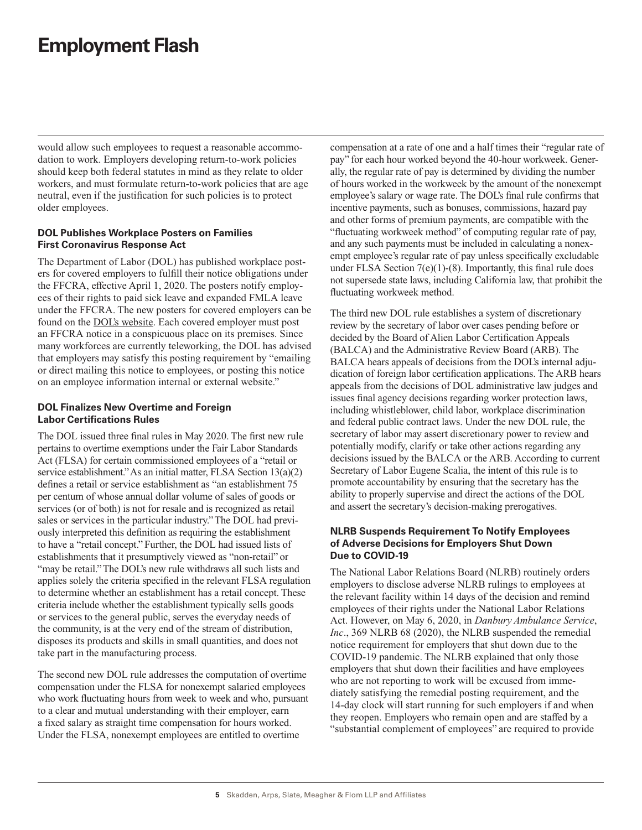<span id="page-4-0"></span>would allow such employees to request a reasonable accommodation to work. Employers developing return-to-work policies should keep both federal statutes in mind as they relate to older workers, and must formulate return-to-work policies that are age neutral, even if the justification for such policies is to protect older employees.

#### **DOL Publishes Workplace Posters on Families First Coronavirus Response Act**

The Department of Labor (DOL) has published workplace posters for covered employers to fulfill their notice obligations under the FFCRA, effective April 1, 2020. The posters notify employees of their rights to paid sick leave and expanded FMLA leave under the FFCRA. The new posters for covered employers can be found on the [DOL's website](http://www.skadden.com/-/media/files/publications/2020/07/employment-flash/ffcra_poster_wh1422_nonfederal.pdf). Each covered employer must post an FFCRA notice in a conspicuous place on its premises. Since many workforces are currently teleworking, the DOL has advised that employers may satisfy this posting requirement by "emailing or direct mailing this notice to employees, or posting this notice on an employee information internal or external website."

#### **DOL Finalizes New Overtime and Foreign Labor Certifications Rules**

The DOL issued three final rules in May 2020. The first new rule pertains to overtime exemptions under the Fair Labor Standards Act (FLSA) for certain commissioned employees of a "retail or service establishment." As an initial matter, FLSA Section 13(a)(2) defines a retail or service establishment as "an establishment 75 per centum of whose annual dollar volume of sales of goods or services (or of both) is not for resale and is recognized as retail sales or services in the particular industry." The DOL had previously interpreted this definition as requiring the establishment to have a "retail concept." Further, the DOL had issued lists of establishments that it presumptively viewed as "non-retail" or "may be retail." The DOL's new rule withdraws all such lists and applies solely the criteria specified in the relevant FLSA regulation to determine whether an establishment has a retail concept. These criteria include whether the establishment typically sells goods or services to the general public, serves the everyday needs of the community, is at the very end of the stream of distribution, disposes its products and skills in small quantities, and does not take part in the manufacturing process.

The second new DOL rule addresses the computation of overtime compensation under the FLSA for nonexempt salaried employees who work fluctuating hours from week to week and who, pursuant to a clear and mutual understanding with their employer, earn a fixed salary as straight time compensation for hours worked. Under the FLSA, nonexempt employees are entitled to overtime

compensation at a rate of one and a half times their "regular rate of pay" for each hour worked beyond the 40-hour workweek. Generally, the regular rate of pay is determined by dividing the number of hours worked in the workweek by the amount of the nonexempt employee's salary or wage rate. The DOL's final rule confirms that incentive payments, such as bonuses, commissions, hazard pay and other forms of premium payments, are compatible with the "fluctuating workweek method" of computing regular rate of pay, and any such payments must be included in calculating a nonexempt employee's regular rate of pay unless specifically excludable under FLSA Section  $7(e)(1)-(8)$ . Importantly, this final rule does not supersede state laws, including California law, that prohibit the fluctuating workweek method.

The third new DOL rule establishes a system of discretionary review by the secretary of labor over cases pending before or decided by the Board of Alien Labor Certification Appeals (BALCA) and the Administrative Review Board (ARB). The BALCA hears appeals of decisions from the DOL's internal adjudication of foreign labor certification applications. The ARB hears appeals from the decisions of DOL administrative law judges and issues final agency decisions regarding worker protection laws, including whistleblower, child labor, workplace discrimination and federal public contract laws. Under the new DOL rule, the secretary of labor may assert discretionary power to review and potentially modify, clarify or take other actions regarding any decisions issued by the BALCA or the ARB. According to current Secretary of Labor Eugene Scalia, the intent of this rule is to promote accountability by ensuring that the secretary has the ability to properly supervise and direct the actions of the DOL and assert the secretary's decision-making prerogatives.

#### **NLRB Suspends Requirement To Notify Employees of Adverse Decisions for Employers Shut Down Due to COVID-19**

The National Labor Relations Board (NLRB) routinely orders employers to disclose adverse NLRB rulings to employees at the relevant facility within 14 days of the decision and remind employees of their rights under the National Labor Relations Act. However, on May 6, 2020, in *Danbury Ambulance Service*, *Inc*., 369 NLRB 68 (2020), the NLRB suspended the remedial notice requirement for employers that shut down due to the COVID-19 pandemic. The NLRB explained that only those employers that shut down their facilities and have employees who are not reporting to work will be excused from immediately satisfying the remedial posting requirement, and the 14-day clock will start running for such employers if and when they reopen. Employers who remain open and are staffed by a "substantial complement of employees" are required to provide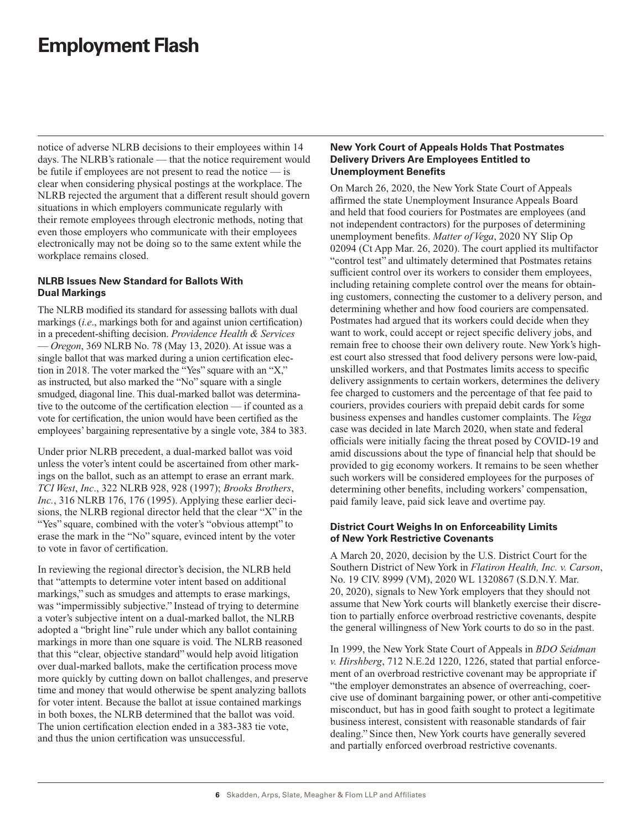<span id="page-5-0"></span>notice of adverse NLRB decisions to their employees within 14 days. The NLRB's rationale — that the notice requirement would be futile if employees are not present to read the notice — is clear when considering physical postings at the workplace. The NLRB rejected the argument that a different result should govern situations in which employers communicate regularly with their remote employees through electronic methods, noting that even those employers who communicate with their employees electronically may not be doing so to the same extent while the workplace remains closed.

#### **NLRB Issues New Standard for Ballots With Dual Markings**

The NLRB modified its standard for assessing ballots with dual markings (*i.e*., markings both for and against union certification) in a precedent-shifting decision. *Providence Health & Services* — *Oregon*, 369 NLRB No. 78 (May 13, 2020). At issue was a single ballot that was marked during a union certification election in 2018. The voter marked the "Yes" square with an "X," as instructed, but also marked the "No" square with a single smudged, diagonal line. This dual-marked ballot was determinative to the outcome of the certification election — if counted as a vote for certification, the union would have been certified as the employees' bargaining representative by a single vote, 384 to 383.

Under prior NLRB precedent, a dual-marked ballot was void unless the voter's intent could be ascertained from other markings on the ballot, such as an attempt to erase an errant mark. *TCI West*, *Inc*., 322 NLRB 928, 928 (1997); *Brooks Brothers*, *Inc.*, 316 NLRB 176, 176 (1995). Applying these earlier decisions, the NLRB regional director held that the clear "X" in the "Yes" square, combined with the voter's "obvious attempt" to erase the mark in the "No" square, evinced intent by the voter to vote in favor of certification.

In reviewing the regional director's decision, the NLRB held that "attempts to determine voter intent based on additional markings," such as smudges and attempts to erase markings, was "impermissibly subjective." Instead of trying to determine a voter's subjective intent on a dual-marked ballot, the NLRB adopted a "bright line" rule under which any ballot containing markings in more than one square is void. The NLRB reasoned that this "clear, objective standard" would help avoid litigation over dual-marked ballots, make the certification process move more quickly by cutting down on ballot challenges, and preserve time and money that would otherwise be spent analyzing ballots for voter intent. Because the ballot at issue contained markings in both boxes, the NLRB determined that the ballot was void. The union certification election ended in a 383-383 tie vote, and thus the union certification was unsuccessful.

#### **New York Court of Appeals Holds That Postmates Delivery Drivers Are Employees Entitled to Unemployment Benefits**

On March 26, 2020, the New York State Court of Appeals affirmed the state Unemployment Insurance Appeals Board and held that food couriers for Postmates are employees (and not independent contractors) for the purposes of determining unemployment benefits. *Matter of Vega*, 2020 NY Slip Op 02094 (Ct App Mar. 26, 2020). The court applied its multifactor "control test" and ultimately determined that Postmates retains sufficient control over its workers to consider them employees, including retaining complete control over the means for obtaining customers, connecting the customer to a delivery person, and determining whether and how food couriers are compensated. Postmates had argued that its workers could decide when they want to work, could accept or reject specific delivery jobs, and remain free to choose their own delivery route. New York's highest court also stressed that food delivery persons were low-paid, unskilled workers, and that Postmates limits access to specific delivery assignments to certain workers, determines the delivery fee charged to customers and the percentage of that fee paid to couriers, provides couriers with prepaid debit cards for some business expenses and handles customer complaints. The *Vega* case was decided in late March 2020, when state and federal officials were initially facing the threat posed by COVID-19 and amid discussions about the type of financial help that should be provided to gig economy workers. It remains to be seen whether such workers will be considered employees for the purposes of determining other benefits, including workers' compensation, paid family leave, paid sick leave and overtime pay.

#### **District Court Weighs In on Enforceability Limits of New York Restrictive Covenants**

A March 20, 2020, decision by the U.S. District Court for the Southern District of New York in *Flatiron Health, Inc. v. Carson*, No. 19 CIV. 8999 (VM), 2020 WL 1320867 (S.D.N.Y. Mar. 20, 2020), signals to New York employers that they should not assume that New York courts will blanketly exercise their discretion to partially enforce overbroad restrictive covenants, despite the general willingness of New York courts to do so in the past.

In 1999, the New York State Court of Appeals in *BDO Seidman v. Hirshberg*, 712 N.E.2d 1220, 1226, stated that partial enforcement of an overbroad restrictive covenant may be appropriate if "the employer demonstrates an absence of overreaching, coercive use of dominant bargaining power, or other anti-competitive misconduct, but has in good faith sought to protect a legitimate business interest, consistent with reasonable standards of fair dealing." Since then, New York courts have generally severed and partially enforced overbroad restrictive covenants.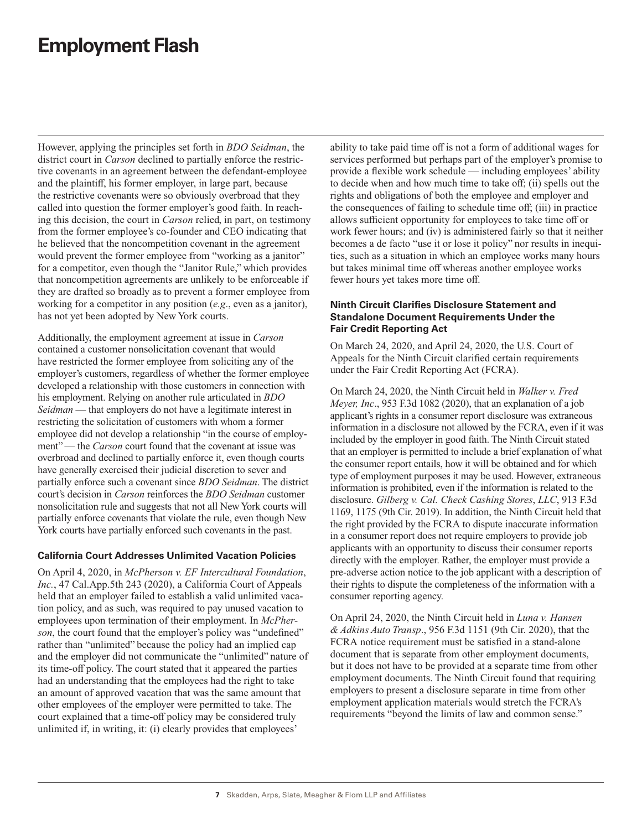<span id="page-6-0"></span>However, applying the principles set forth in *BDO Seidman*, the district court in *Carson* declined to partially enforce the restrictive covenants in an agreement between the defendant-employee and the plaintiff, his former employer, in large part, because the restrictive covenants were so obviously overbroad that they called into question the former employer's good faith. In reaching this decision, the court in *Carson* relied, in part, on testimony from the former employee's co-founder and CEO indicating that he believed that the noncompetition covenant in the agreement would prevent the former employee from "working as a janitor" for a competitor, even though the "Janitor Rule," which provides that noncompetition agreements are unlikely to be enforceable if they are drafted so broadly as to prevent a former employee from working for a competitor in any position (*e.g*., even as a janitor), has not yet been adopted by New York courts.

Additionally, the employment agreement at issue in *Carson* contained a customer nonsolicitation covenant that would have restricted the former employee from soliciting any of the employer's customers, regardless of whether the former employee developed a relationship with those customers in connection with his employment. Relying on another rule articulated in *BDO Seidman* — that employers do not have a legitimate interest in restricting the solicitation of customers with whom a former employee did not develop a relationship "in the course of employment" — the *Carson* court found that the covenant at issue was overbroad and declined to partially enforce it, even though courts have generally exercised their judicial discretion to sever and partially enforce such a covenant since *BDO Seidman*. The district court's decision in *Carson* reinforces the *BDO Seidman* customer nonsolicitation rule and suggests that not all New York courts will partially enforce covenants that violate the rule, even though New York courts have partially enforced such covenants in the past.

#### **California Court Addresses Unlimited Vacation Policies**

On April 4, 2020, in *McPherson v. EF Intercultural Foundation*, *Inc.*, 47 Cal.App.5th 243 (2020), a California Court of Appeals held that an employer failed to establish a valid unlimited vacation policy, and as such, was required to pay unused vacation to employees upon termination of their employment. In *McPherson*, the court found that the employer's policy was "undefined" rather than "unlimited" because the policy had an implied cap and the employer did not communicate the "unlimited" nature of its time-off policy. The court stated that it appeared the parties had an understanding that the employees had the right to take an amount of approved vacation that was the same amount that other employees of the employer were permitted to take. The court explained that a time-off policy may be considered truly unlimited if, in writing, it: (i) clearly provides that employees'

ability to take paid time off is not a form of additional wages for services performed but perhaps part of the employer's promise to provide a flexible work schedule — including employees' ability to decide when and how much time to take off; (ii) spells out the rights and obligations of both the employee and employer and the consequences of failing to schedule time off; (iii) in practice allows sufficient opportunity for employees to take time off or work fewer hours; and (iv) is administered fairly so that it neither becomes a de facto "use it or lose it policy" nor results in inequities, such as a situation in which an employee works many hours but takes minimal time off whereas another employee works fewer hours yet takes more time off.

#### **Ninth Circuit Clarifies Disclosure Statement and Standalone Document Requirements Under the Fair Credit Reporting Act**

On March 24, 2020, and April 24, 2020, the U.S. Court of Appeals for the Ninth Circuit clarified certain requirements under the Fair Credit Reporting Act (FCRA).

On March 24, 2020, the Ninth Circuit held in *Walker v. Fred Meyer, Inc*., 953 F.3d 1082 (2020), that an explanation of a job applicant's rights in a consumer report disclosure was extraneous information in a disclosure not allowed by the FCRA, even if it was included by the employer in good faith. The Ninth Circuit stated that an employer is permitted to include a brief explanation of what the consumer report entails, how it will be obtained and for which type of employment purposes it may be used. However, extraneous information is prohibited, even if the information is related to the disclosure. *Gilberg v. Cal. Check Cashing Stores*, *LLC*, 913 F.3d 1169, 1175 (9th Cir. 2019). In addition, the Ninth Circuit held that the right provided by the FCRA to dispute inaccurate information in a consumer report does not require employers to provide job applicants with an opportunity to discuss their consumer reports directly with the employer. Rather, the employer must provide a pre-adverse action notice to the job applicant with a description of their rights to dispute the completeness of the information with a consumer reporting agency.

On April 24, 2020, the Ninth Circuit held in *Luna v. Hansen & Adkins Auto Transp*., 956 F.3d 1151 (9th Cir. 2020), that the FCRA notice requirement must be satisfied in a stand-alone document that is separate from other employment documents, but it does not have to be provided at a separate time from other employment documents. The Ninth Circuit found that requiring employers to present a disclosure separate in time from other employment application materials would stretch the FCRA's requirements "beyond the limits of law and common sense."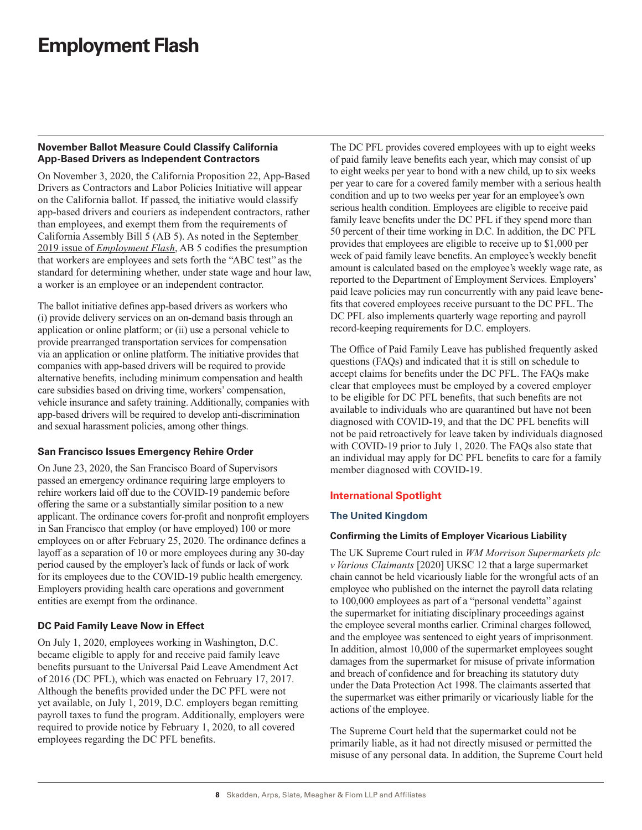#### <span id="page-7-0"></span>**November Ballot Measure Could Classify California App-Based Drivers as Independent Contractors**

On November 3, 2020, the California Proposition 22, App-Based Drivers as Contractors and Labor Policies Initiative will appear on the California ballot. If passed, the initiative would classify app-based drivers and couriers as independent contractors, rather than employees, and exempt them from the requirements of California Assembly Bill 5 (AB 5). As noted in the [September](https://www.skadden.com/insights/publications/2019/12/employment-flash#ballot)  2019 issue of *[Employment Flash](https://www.skadden.com/insights/publications/2019/12/employment-flash#ballot)*, AB 5 codifies the presumption that workers are employees and sets forth the "ABC test" as the standard for determining whether, under state wage and hour law, a worker is an employee or an independent contractor.

The ballot initiative defines app-based drivers as workers who (i) provide delivery services on an on-demand basis through an application or online platform; or (ii) use a personal vehicle to provide prearranged transportation services for compensation via an application or online platform. The initiative provides that companies with app-based drivers will be required to provide alternative benefits, including minimum compensation and health care subsidies based on driving time, workers' compensation, vehicle insurance and safety training. Additionally, companies with app-based drivers will be required to develop anti-discrimination and sexual harassment policies, among other things.

#### **San Francisco Issues Emergency Rehire Order**

On June 23, 2020, the San Francisco Board of Supervisors passed an emergency ordinance requiring large employers to rehire workers laid off due to the COVID-19 pandemic before offering the same or a substantially similar position to a new applicant. The ordinance covers for-profit and nonprofit employers in San Francisco that employ (or have employed) 100 or more employees on or after February 25, 2020. The ordinance defines a layoff as a separation of 10 or more employees during any 30-day period caused by the employer's lack of funds or lack of work for its employees due to the COVID-19 public health emergency. Employers providing health care operations and government entities are exempt from the ordinance.

#### **DC Paid Family Leave Now in Effect**

On July 1, 2020, employees working in Washington, D.C. became eligible to apply for and receive paid family leave benefits pursuant to the Universal Paid Leave Amendment Act of 2016 (DC PFL), which was enacted on February 17, 2017. Although the benefits provided under the DC PFL were not yet available, on July 1, 2019, D.C. employers began remitting payroll taxes to fund the program. Additionally, employers were required to provide notice by February 1, 2020, to all covered employees regarding the DC PFL benefits.

The DC PFL provides covered employees with up to eight weeks of paid family leave benefits each year, which may consist of up to eight weeks per year to bond with a new child, up to six weeks per year to care for a covered family member with a serious health condition and up to two weeks per year for an employee's own serious health condition. Employees are eligible to receive paid family leave benefits under the DC PFL if they spend more than 50 percent of their time working in D.C. In addition, the DC PFL provides that employees are eligible to receive up to \$1,000 per week of paid family leave benefits. An employee's weekly benefit amount is calculated based on the employee's weekly wage rate, as reported to the Department of Employment Services. Employers' paid leave policies may run concurrently with any paid leave benefits that covered employees receive pursuant to the DC PFL. The DC PFL also implements quarterly wage reporting and payroll record-keeping requirements for D.C. employers.

The Office of Paid Family Leave has published frequently asked questions (FAQs) and indicated that it is still on schedule to accept claims for benefits under the DC PFL. The FAQs make clear that employees must be employed by a covered employer to be eligible for DC PFL benefits, that such benefits are not available to individuals who are quarantined but have not been diagnosed with COVID-19, and that the DC PFL benefits will not be paid retroactively for leave taken by individuals diagnosed with COVID-19 prior to July 1, 2020. The FAQs also state that an individual may apply for DC PFL benefits to care for a family member diagnosed with COVID-19.

### **International Spotlight**

#### **The United Kingdom**

#### **Confirming the Limits of Employer Vicarious Liability**

The UK Supreme Court ruled in *WM Morrison Supermarkets plc v Various Claimants* [2020] UKSC 12 that a large supermarket chain cannot be held vicariously liable for the wrongful acts of an employee who published on the internet the payroll data relating to 100,000 employees as part of a "personal vendetta" against the supermarket for initiating disciplinary proceedings against the employee several months earlier. Criminal charges followed, and the employee was sentenced to eight years of imprisonment. In addition, almost 10,000 of the supermarket employees sought damages from the supermarket for misuse of private information and breach of confidence and for breaching its statutory duty under the Data Protection Act 1998. The claimants asserted that the supermarket was either primarily or vicariously liable for the actions of the employee.

The Supreme Court held that the supermarket could not be primarily liable, as it had not directly misused or permitted the misuse of any personal data. In addition, the Supreme Court held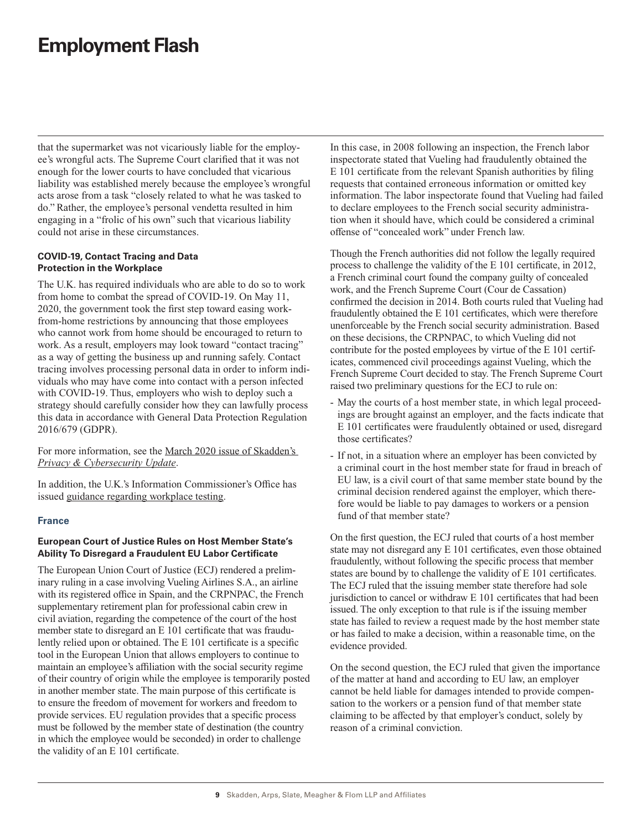<span id="page-8-0"></span>that the supermarket was not vicariously liable for the employee's wrongful acts. The Supreme Court clarified that it was not enough for the lower courts to have concluded that vicarious liability was established merely because the employee's wrongful acts arose from a task "closely related to what he was tasked to do." Rather, the employee's personal vendetta resulted in him engaging in a "frolic of his own" such that vicarious liability could not arise in these circumstances.

#### **COVID-19, Contact Tracing and Data Protection in the Workplace**

The U.K. has required individuals who are able to do so to work from home to combat the spread of COVID-19. On May 11, 2020, the government took the first step toward easing workfrom-home restrictions by announcing that those employees who cannot work from home should be encouraged to return to work. As a result, employers may look toward "contact tracing" as a way of getting the business up and running safely. Contact tracing involves processing personal data in order to inform individuals who may have come into contact with a person infected with COVID-19. Thus, employers who wish to deploy such a strategy should carefully consider how they can lawfully process this data in accordance with General Data Protection Regulation 2016/679 (GDPR).

For more information, see the [March 2020 issue of Skadden's](https://www.skadden.com/insights/publications/2020/03/privacy-cybersecurity-update#COVID)  *[Privacy & Cybersecurity Update](https://www.skadden.com/insights/publications/2020/03/privacy-cybersecurity-update#COVID)*.

In addition, the U.K.'s Information Commissioner's Office has issued [guidance regarding workplace testing](https://ico.org.uk/global/data-protection-and-coronavirus-information-hub/coronavirus-recovery-data-protection-advice-for-organisations/).

#### **France**

#### **European Court of Justice Rules on Host Member State's Ability To Disregard a Fraudulent EU Labor Certificate**

The European Union Court of Justice (ECJ) rendered a preliminary ruling in a case involving Vueling Airlines S.A., an airline with its registered office in Spain, and the CRPNPAC, the French supplementary retirement plan for professional cabin crew in civil aviation, regarding the competence of the court of the host member state to disregard an E 101 certificate that was fraudulently relied upon or obtained. The E 101 certificate is a specific tool in the European Union that allows employers to continue to maintain an employee's affiliation with the social security regime of their country of origin while the employee is temporarily posted in another member state. The main purpose of this certificate is to ensure the freedom of movement for workers and freedom to provide services. EU regulation provides that a specific process must be followed by the member state of destination (the country in which the employee would be seconded) in order to challenge the validity of an E 101 certificate.

In this case, in 2008 following an inspection, the French labor inspectorate stated that Vueling had fraudulently obtained the E 101 certificate from the relevant Spanish authorities by filing requests that contained erroneous information or omitted key information. The labor inspectorate found that Vueling had failed to declare employees to the French social security administration when it should have, which could be considered a criminal offense of "concealed work" under French law.

Though the French authorities did not follow the legally required process to challenge the validity of the E 101 certificate, in 2012, a French criminal court found the company guilty of concealed work, and the French Supreme Court (Cour de Cassation) confirmed the decision in 2014. Both courts ruled that Vueling had fraudulently obtained the E 101 certificates, which were therefore unenforceable by the French social security administration. Based on these decisions, the CRPNPAC, to which Vueling did not contribute for the posted employees by virtue of the E 101 certificates, commenced civil proceedings against Vueling, which the French Supreme Court decided to stay. The French Supreme Court raised two preliminary questions for the ECJ to rule on:

- May the courts of a host member state, in which legal proceedings are brought against an employer, and the facts indicate that E 101 certificates were fraudulently obtained or used, disregard those certificates?
- If not, in a situation where an employer has been convicted by a criminal court in the host member state for fraud in breach of EU law, is a civil court of that same member state bound by the criminal decision rendered against the employer, which therefore would be liable to pay damages to workers or a pension fund of that member state?

On the first question, the ECJ ruled that courts of a host member state may not disregard any E 101 certificates, even those obtained fraudulently, without following the specific process that member states are bound by to challenge the validity of E 101 certificates. The ECJ ruled that the issuing member state therefore had sole jurisdiction to cancel or withdraw E 101 certificates that had been issued. The only exception to that rule is if the issuing member state has failed to review a request made by the host member state or has failed to make a decision, within a reasonable time, on the evidence provided.

On the second question, the ECJ ruled that given the importance of the matter at hand and according to EU law, an employer cannot be held liable for damages intended to provide compensation to the workers or a pension fund of that member state claiming to be affected by that employer's conduct, solely by reason of a criminal conviction.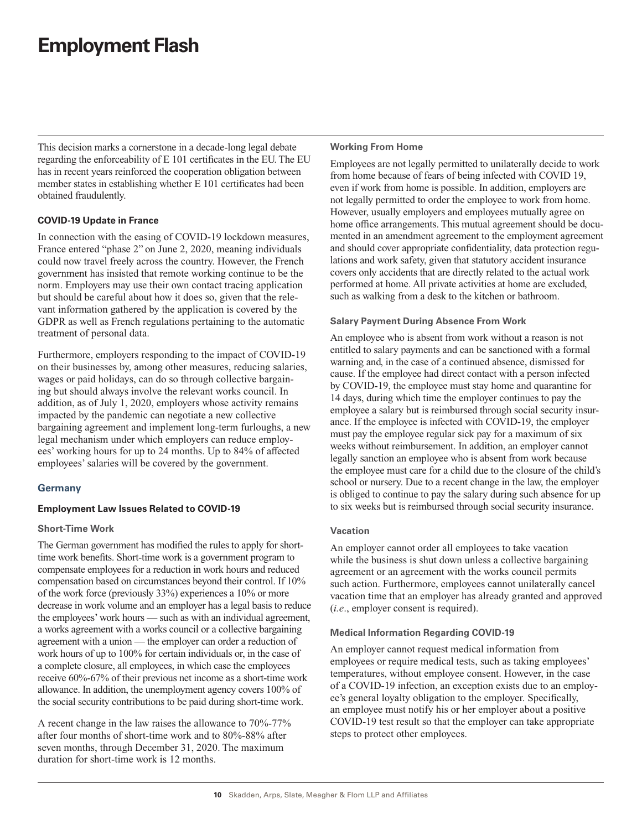<span id="page-9-0"></span>This decision marks a cornerstone in a decade-long legal debate regarding the enforceability of E 101 certificates in the EU. The EU has in recent years reinforced the cooperation obligation between member states in establishing whether E 101 certificates had been obtained fraudulently.

#### **COVID-19 Update in France**

In connection with the easing of COVID-19 lockdown measures, France entered "phase 2" on June 2, 2020, meaning individuals could now travel freely across the country. However, the French government has insisted that remote working continue to be the norm. Employers may use their own contact tracing application but should be careful about how it does so, given that the relevant information gathered by the application is covered by the GDPR as well as French regulations pertaining to the automatic treatment of personal data.

Furthermore, employers responding to the impact of COVID-19 on their businesses by, among other measures, reducing salaries, wages or paid holidays, can do so through collective bargaining but should always involve the relevant works council. In addition, as of July 1, 2020, employers whose activity remains impacted by the pandemic can negotiate a new collective bargaining agreement and implement long-term furloughs, a new legal mechanism under which employers can reduce employees' working hours for up to 24 months. Up to 84% of affected employees' salaries will be covered by the government.

#### **Germany**

#### **Employment Law Issues Related to COVID-19**

#### **Short-Time Work**

The German government has modified the rules to apply for shorttime work benefits. Short-time work is a government program to compensate employees for a reduction in work hours and reduced compensation based on circumstances beyond their control. If 10% of the work force (previously 33%) experiences a 10% or more decrease in work volume and an employer has a legal basis to reduce the employees' work hours — such as with an individual agreement, a works agreement with a works council or a collective bargaining agreement with a union — the employer can order a reduction of work hours of up to 100% for certain individuals or, in the case of a complete closure, all employees, in which case the employees receive 60%-67% of their previous net income as a short-time work allowance. In addition, the unemployment agency covers 100% of the social security contributions to be paid during short-time work.

A recent change in the law raises the allowance to 70%-77% after four months of short-time work and to 80%-88% after seven months, through December 31, 2020. The maximum duration for short-time work is 12 months.

#### **Working From Home**

Employees are not legally permitted to unilaterally decide to work from home because of fears of being infected with COVID 19, even if work from home is possible. In addition, employers are not legally permitted to order the employee to work from home. However, usually employers and employees mutually agree on home office arrangements. This mutual agreement should be documented in an amendment agreement to the employment agreement and should cover appropriate confidentiality, data protection regulations and work safety, given that statutory accident insurance covers only accidents that are directly related to the actual work performed at home. All private activities at home are excluded, such as walking from a desk to the kitchen or bathroom.

#### **Salary Payment During Absence From Work**

An employee who is absent from work without a reason is not entitled to salary payments and can be sanctioned with a formal warning and, in the case of a continued absence, dismissed for cause. If the employee had direct contact with a person infected by COVID-19, the employee must stay home and quarantine for 14 days, during which time the employer continues to pay the employee a salary but is reimbursed through social security insurance. If the employee is infected with COVID-19, the employer must pay the employee regular sick pay for a maximum of six weeks without reimbursement. In addition, an employer cannot legally sanction an employee who is absent from work because the employee must care for a child due to the closure of the child's school or nursery. Due to a recent change in the law, the employer is obliged to continue to pay the salary during such absence for up to six weeks but is reimbursed through social security insurance.

#### **Vacation**

An employer cannot order all employees to take vacation while the business is shut down unless a collective bargaining agreement or an agreement with the works council permits such action. Furthermore, employees cannot unilaterally cancel vacation time that an employer has already granted and approved (*i.e*., employer consent is required).

#### **Medical Information Regarding COVID-19**

An employer cannot request medical information from employees or require medical tests, such as taking employees' temperatures, without employee consent. However, in the case of a COVID-19 infection, an exception exists due to an employee's general loyalty obligation to the employer. Specifically, an employee must notify his or her employer about a positive COVID-19 test result so that the employer can take appropriate steps to protect other employees.